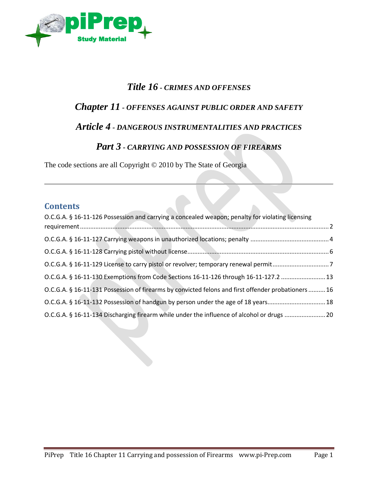

#### *Title 16 - CRIMES AND OFFENSES*

# *Chapter 11 - OFFENSES AGAINST PUBLIC ORDER AND SAFETY*

# *Article 4 - DANGEROUS INSTRUMENTALITIES AND PRACTICES*

#### *Part 3 - CARRYING AND POSSESSION OF FIREARMS*

 $\mathbb{R}$ 

The code sections are all Copyright © 2010 by The State of Georgia

#### **Contents**

| O.C.G.A. § 16-11-126 Possession and carrying a concealed weapon; penalty for violating licensing    |  |
|-----------------------------------------------------------------------------------------------------|--|
|                                                                                                     |  |
|                                                                                                     |  |
|                                                                                                     |  |
| O.C.G.A. § 16-11-130 Exemptions from Code Sections 16-11-126 through 16-11-127.2  13                |  |
| O.C.G.A. § 16-11-131 Possession of firearms by convicted felons and first offender probationers  16 |  |
| O.C.G.A. § 16-11-132 Possession of handgun by person under the age of 18 years18                    |  |
| O.C.G.A. § 16-11-134 Discharging firearm while under the influence of alcohol or drugs 20           |  |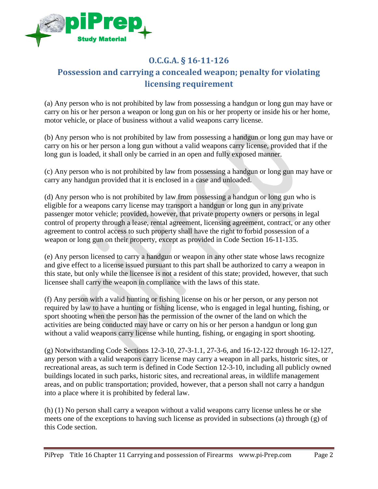

# <span id="page-1-0"></span>**O.C.G.A. § 16-11-126 Possession and carrying a concealed weapon; penalty for violating licensing requirement**

(a) Any person who is not prohibited by law from possessing a handgun or long gun may have or carry on his or her person a weapon or long gun on his or her property or inside his or her home, motor vehicle, or place of business without a valid weapons carry license.

(b) Any person who is not prohibited by law from possessing a handgun or long gun may have or carry on his or her person a long gun without a valid weapons carry license, provided that if the long gun is loaded, it shall only be carried in an open and fully exposed manner.

(c) Any person who is not prohibited by law from possessing a handgun or long gun may have or carry any handgun provided that it is enclosed in a case and unloaded.

(d) Any person who is not prohibited by law from possessing a handgun or long gun who is eligible for a weapons carry license may transport a handgun or long gun in any private passenger motor vehicle; provided, however, that private property owners or persons in legal control of property through a lease, rental agreement, licensing agreement, contract, or any other agreement to control access to such property shall have the right to forbid possession of a weapon or long gun on their property, except as provided in Code Section 16-11-135.

(e) Any person licensed to carry a handgun or weapon in any other state whose laws recognize and give effect to a license issued pursuant to this part shall be authorized to carry a weapon in this state, but only while the licensee is not a resident of this state; provided, however, that such licensee shall carry the weapon in compliance with the laws of this state.

(f) Any person with a valid hunting or fishing license on his or her person, or any person not required by law to have a hunting or fishing license, who is engaged in legal hunting, fishing, or sport shooting when the person has the permission of the owner of the land on which the activities are being conducted may have or carry on his or her person a handgun or long gun without a valid weapons carry license while hunting, fishing, or engaging in sport shooting.

(g) Notwithstanding Code Sections 12-3-10, 27-3-1.1, 27-3-6, and 16-12-122 through 16-12-127, any person with a valid weapons carry license may carry a weapon in all parks, historic sites, or recreational areas, as such term is defined in Code Section 12-3-10, including all publicly owned buildings located in such parks, historic sites, and recreational areas, in wildlife management areas, and on public transportation; provided, however, that a person shall not carry a handgun into a place where it is prohibited by federal law.

(h) (1) No person shall carry a weapon without a valid weapons carry license unless he or she meets one of the exceptions to having such license as provided in subsections (a) through (g) of this Code section.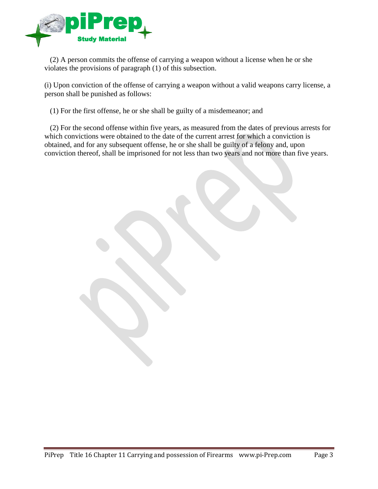

 (2) A person commits the offense of carrying a weapon without a license when he or she violates the provisions of paragraph (1) of this subsection.

(i) Upon conviction of the offense of carrying a weapon without a valid weapons carry license, a person shall be punished as follows:

(1) For the first offense, he or she shall be guilty of a misdemeanor; and

 (2) For the second offense within five years, as measured from the dates of previous arrests for which convictions were obtained to the date of the current arrest for which a conviction is obtained, and for any subsequent offense, he or she shall be guilty of a felony and, upon conviction thereof, shall be imprisoned for not less than two years and not more than five years.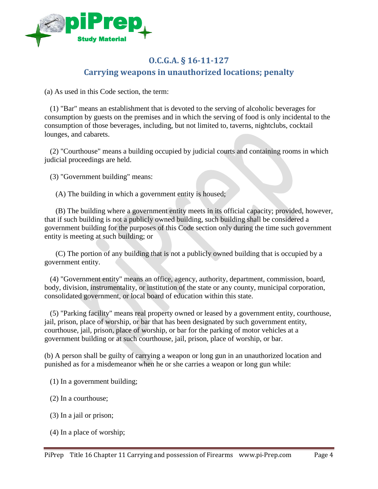

#### **O.C.G.A. § 16-11-127 Carrying weapons in unauthorized locations; penalty**

<span id="page-3-0"></span>(a) As used in this Code section, the term:

 (1) "Bar" means an establishment that is devoted to the serving of alcoholic beverages for consumption by guests on the premises and in which the serving of food is only incidental to the consumption of those beverages, including, but not limited to, taverns, nightclubs, cocktail lounges, and cabarets.

 (2) "Courthouse" means a building occupied by judicial courts and containing rooms in which judicial proceedings are held.

(3) "Government building" means:

(A) The building in which a government entity is housed;

 (B) The building where a government entity meets in its official capacity; provided, however, that if such building is not a publicly owned building, such building shall be considered a government building for the purposes of this Code section only during the time such government entity is meeting at such building; or

 (C) The portion of any building that is not a publicly owned building that is occupied by a government entity.

 (4) "Government entity" means an office, agency, authority, department, commission, board, body, division, instrumentality, or institution of the state or any county, municipal corporation, consolidated government, or local board of education within this state.

 (5) "Parking facility" means real property owned or leased by a government entity, courthouse, jail, prison, place of worship, or bar that has been designated by such government entity, courthouse, jail, prison, place of worship, or bar for the parking of motor vehicles at a government building or at such courthouse, jail, prison, place of worship, or bar.

(b) A person shall be guilty of carrying a weapon or long gun in an unauthorized location and punished as for a misdemeanor when he or she carries a weapon or long gun while:

(1) In a government building;

(2) In a courthouse;

- (3) In a jail or prison;
- (4) In a place of worship;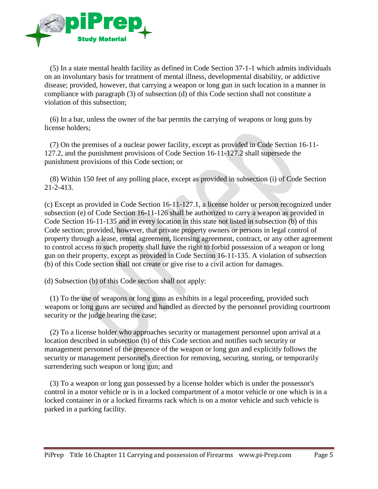

 (5) In a state mental health facility as defined in Code Section 37-1-1 which admits individuals on an involuntary basis for treatment of mental illness, developmental disability, or addictive disease; provided, however, that carrying a weapon or long gun in such location in a manner in compliance with paragraph (3) of subsection (d) of this Code section shall not constitute a violation of this subsection;

 (6) In a bar, unless the owner of the bar permits the carrying of weapons or long guns by license holders;

 (7) On the premises of a nuclear power facility, except as provided in Code Section 16-11- 127.2, and the punishment provisions of Code Section 16-11-127.2 shall supersede the punishment provisions of this Code section; or

 (8) Within 150 feet of any polling place, except as provided in subsection (i) of Code Section 21-2-413.

(c) Except as provided in Code Section 16-11-127.1, a license holder or person recognized under subsection (e) of Code Section 16-11-126 shall be authorized to carry a weapon as provided in Code Section 16-11-135 and in every location in this state not listed in subsection (b) of this Code section; provided, however, that private property owners or persons in legal control of property through a lease, rental agreement, licensing agreement, contract, or any other agreement to control access to such property shall have the right to forbid possession of a weapon or long gun on their property, except as provided in Code Section 16-11-135. A violation of subsection (b) of this Code section shall not create or give rise to a civil action for damages.

(d) Subsection (b) of this Code section shall not apply:

 (1) To the use of weapons or long guns as exhibits in a legal proceeding, provided such weapons or long guns are secured and handled as directed by the personnel providing courtroom security or the judge hearing the case;

 (2) To a license holder who approaches security or management personnel upon arrival at a location described in subsection (b) of this Code section and notifies such security or management personnel of the presence of the weapon or long gun and explicitly follows the security or management personnel's direction for removing, securing, storing, or temporarily surrendering such weapon or long gun; and

 (3) To a weapon or long gun possessed by a license holder which is under the possessor's control in a motor vehicle or is in a locked compartment of a motor vehicle or one which is in a locked container in or a locked firearms rack which is on a motor vehicle and such vehicle is parked in a parking facility.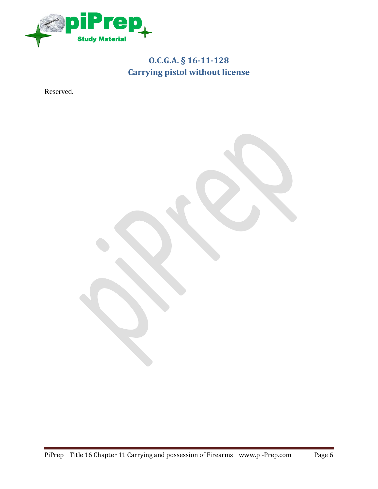

# **O.C.G.A. § 16-11-128 Carrying pistol without license**

<span id="page-5-0"></span>Reserved.

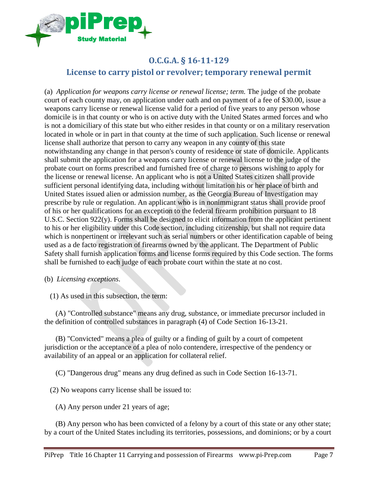

## <span id="page-6-0"></span>**O.C.G.A. § 16-11-129 License to carry pistol or revolver; temporary renewal permit**

(a) *Application for weapons carry license or renewal license; term.* The judge of the probate court of each county may, on application under oath and on payment of a fee of \$30.00, issue a weapons carry license or renewal license valid for a period of five years to any person whose domicile is in that county or who is on active duty with the United States armed forces and who is not a domiciliary of this state but who either resides in that county or on a military reservation located in whole or in part in that county at the time of such application. Such license or renewal license shall authorize that person to carry any weapon in any county of this state notwithstanding any change in that person's county of residence or state of domicile. Applicants shall submit the application for a weapons carry license or renewal license to the judge of the probate court on forms prescribed and furnished free of charge to persons wishing to apply for the license or renewal license. An applicant who is not a United States citizen shall provide sufficient personal identifying data, including without limitation his or her place of birth and United States issued alien or admission number, as the Georgia Bureau of Investigation may prescribe by rule or regulation. An applicant who is in nonimmigrant status shall provide proof of his or her qualifications for an exception to the federal firearm prohibition pursuant to 18 U.S.C. Section 922(y). Forms shall be designed to elicit information from the applicant pertinent to his or her eligibility under this Code section, including citizenship, but shall not require data which is nonpertinent or irrelevant such as serial numbers or other identification capable of being used as a de facto registration of firearms owned by the applicant. The Department of Public Safety shall furnish application forms and license forms required by this Code section. The forms shall be furnished to each judge of each probate court within the state at no cost.

- (b) *Licensing exceptions.*
	- (1) As used in this subsection, the term:

 (A) "Controlled substance" means any drug, substance, or immediate precursor included in the definition of controlled substances in paragraph (4) of Code Section 16-13-21.

 (B) "Convicted" means a plea of guilty or a finding of guilt by a court of competent jurisdiction or the acceptance of a plea of nolo contendere, irrespective of the pendency or availability of an appeal or an application for collateral relief.

(C) "Dangerous drug" means any drug defined as such in Code Section 16-13-71.

(2) No weapons carry license shall be issued to:

(A) Any person under 21 years of age;

 (B) Any person who has been convicted of a felony by a court of this state or any other state; by a court of the United States including its territories, possessions, and dominions; or by a court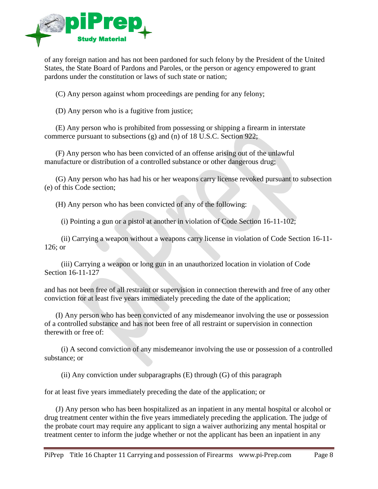

of any foreign nation and has not been pardoned for such felony by the President of the United States, the State Board of Pardons and Paroles, or the person or agency empowered to grant pardons under the constitution or laws of such state or nation;

(C) Any person against whom proceedings are pending for any felony;

(D) Any person who is a fugitive from justice;

 (E) Any person who is prohibited from possessing or shipping a firearm in interstate commerce pursuant to subsections (g) and (n) of 18 U.S.C. Section 922;

 (F) Any person who has been convicted of an offense arising out of the unlawful manufacture or distribution of a controlled substance or other dangerous drug;

 (G) Any person who has had his or her weapons carry license revoked pursuant to subsection (e) of this Code section;

(H) Any person who has been convicted of any of the following:

(i) Pointing a gun or a pistol at another in violation of Code Section 16-11-102;

 (ii) Carrying a weapon without a weapons carry license in violation of Code Section 16-11- 126; or

 (iii) Carrying a weapon or long gun in an unauthorized location in violation of Code Section 16-11-127

and has not been free of all restraint or supervision in connection therewith and free of any other conviction for at least five years immediately preceding the date of the application;

 (I) Any person who has been convicted of any misdemeanor involving the use or possession of a controlled substance and has not been free of all restraint or supervision in connection therewith or free of:

 (i) A second conviction of any misdemeanor involving the use or possession of a controlled substance; or

(ii) Any conviction under subparagraphs (E) through (G) of this paragraph

for at least five years immediately preceding the date of the application; or

 (J) Any person who has been hospitalized as an inpatient in any mental hospital or alcohol or drug treatment center within the five years immediately preceding the application. The judge of the probate court may require any applicant to sign a waiver authorizing any mental hospital or treatment center to inform the judge whether or not the applicant has been an inpatient in any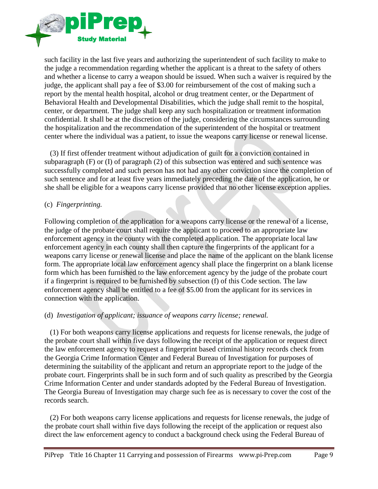

such facility in the last five years and authorizing the superintendent of such facility to make to the judge a recommendation regarding whether the applicant is a threat to the safety of others and whether a license to carry a weapon should be issued. When such a waiver is required by the judge, the applicant shall pay a fee of \$3.00 for reimbursement of the cost of making such a report by the mental health hospital, alcohol or drug treatment center, or the Department of Behavioral Health and Developmental Disabilities, which the judge shall remit to the hospital, center, or department. The judge shall keep any such hospitalization or treatment information confidential. It shall be at the discretion of the judge, considering the circumstances surrounding the hospitalization and the recommendation of the superintendent of the hospital or treatment center where the individual was a patient, to issue the weapons carry license or renewal license.

 (3) If first offender treatment without adjudication of guilt for a conviction contained in subparagraph (F) or (I) of paragraph (2) of this subsection was entered and such sentence was successfully completed and such person has not had any other conviction since the completion of such sentence and for at least five years immediately preceding the date of the application, he or she shall be eligible for a weapons carry license provided that no other license exception applies.

#### (c) *Fingerprinting.*

Following completion of the application for a weapons carry license or the renewal of a license, the judge of the probate court shall require the applicant to proceed to an appropriate law enforcement agency in the county with the completed application. The appropriate local law enforcement agency in each county shall then capture the fingerprints of the applicant for a weapons carry license or renewal license and place the name of the applicant on the blank license form. The appropriate local law enforcement agency shall place the fingerprint on a blank license form which has been furnished to the law enforcement agency by the judge of the probate court if a fingerprint is required to be furnished by subsection (f) of this Code section. The law enforcement agency shall be entitled to a fee of \$5.00 from the applicant for its services in connection with the application.

#### (d) *Investigation of applicant; issuance of weapons carry license; renewal.*

 (1) For both weapons carry license applications and requests for license renewals, the judge of the probate court shall within five days following the receipt of the application or request direct the law enforcement agency to request a fingerprint based criminal history records check from the Georgia Crime Information Center and Federal Bureau of Investigation for purposes of determining the suitability of the applicant and return an appropriate report to the judge of the probate court. Fingerprints shall be in such form and of such quality as prescribed by the Georgia Crime Information Center and under standards adopted by the Federal Bureau of Investigation. The Georgia Bureau of Investigation may charge such fee as is necessary to cover the cost of the records search.

 (2) For both weapons carry license applications and requests for license renewals, the judge of the probate court shall within five days following the receipt of the application or request also direct the law enforcement agency to conduct a background check using the Federal Bureau of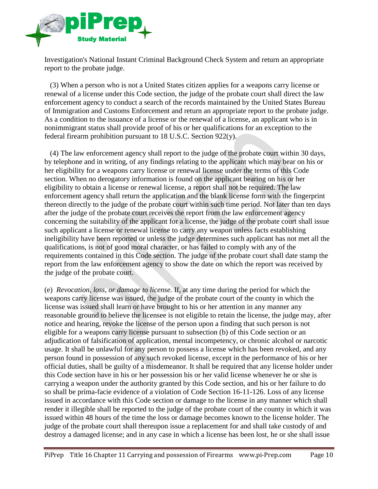

Investigation's National Instant Criminal Background Check System and return an appropriate report to the probate judge.

 (3) When a person who is not a United States citizen applies for a weapons carry license or renewal of a license under this Code section, the judge of the probate court shall direct the law enforcement agency to conduct a search of the records maintained by the United States Bureau of Immigration and Customs Enforcement and return an appropriate report to the probate judge. As a condition to the issuance of a license or the renewal of a license, an applicant who is in nonimmigrant status shall provide proof of his or her qualifications for an exception to the federal firearm prohibition pursuant to 18 U.S.C. Section 922(y).

 (4) The law enforcement agency shall report to the judge of the probate court within 30 days, by telephone and in writing, of any findings relating to the applicant which may bear on his or her eligibility for a weapons carry license or renewal license under the terms of this Code section. When no derogatory information is found on the applicant bearing on his or her eligibility to obtain a license or renewal license, a report shall not be required. The law enforcement agency shall return the application and the blank license form with the fingerprint thereon directly to the judge of the probate court within such time period. Not later than ten days after the judge of the probate court receives the report from the law enforcement agency concerning the suitability of the applicant for a license, the judge of the probate court shall issue such applicant a license or renewal license to carry any weapon unless facts establishing ineligibility have been reported or unless the judge determines such applicant has not met all the qualifications, is not of good moral character, or has failed to comply with any of the requirements contained in this Code section. The judge of the probate court shall date stamp the report from the law enforcement agency to show the date on which the report was received by the judge of the probate court.

(e) *Revocation, loss, or damage to license.* If, at any time during the period for which the weapons carry license was issued, the judge of the probate court of the county in which the license was issued shall learn or have brought to his or her attention in any manner any reasonable ground to believe the licensee is not eligible to retain the license, the judge may, after notice and hearing, revoke the license of the person upon a finding that such person is not eligible for a weapons carry license pursuant to subsection (b) of this Code section or an adjudication of falsification of application, mental incompetency, or chronic alcohol or narcotic usage. It shall be unlawful for any person to possess a license which has been revoked, and any person found in possession of any such revoked license, except in the performance of his or her official duties, shall be guilty of a misdemeanor. It shall be required that any license holder under this Code section have in his or her possession his or her valid license whenever he or she is carrying a weapon under the authority granted by this Code section, and his or her failure to do so shall be prima-facie evidence of a violation of Code Section 16-11-126. Loss of any license issued in accordance with this Code section or damage to the license in any manner which shall render it illegible shall be reported to the judge of the probate court of the county in which it was issued within 48 hours of the time the loss or damage becomes known to the license holder. The judge of the probate court shall thereupon issue a replacement for and shall take custody of and destroy a damaged license; and in any case in which a license has been lost, he or she shall issue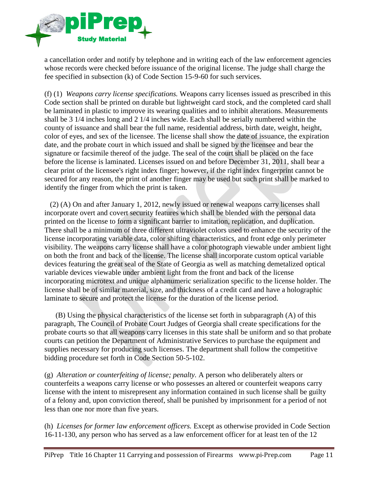

a cancellation order and notify by telephone and in writing each of the law enforcement agencies whose records were checked before issuance of the original license. The judge shall charge the fee specified in subsection (k) of Code Section 15-9-60 for such services.

(f) (1) *Weapons carry license specifications.* Weapons carry licenses issued as prescribed in this Code section shall be printed on durable but lightweight card stock, and the completed card shall be laminated in plastic to improve its wearing qualities and to inhibit alterations. Measurements shall be 3 1/4 inches long and 2 1/4 inches wide. Each shall be serially numbered within the county of issuance and shall bear the full name, residential address, birth date, weight, height, color of eyes, and sex of the licensee. The license shall show the date of issuance, the expiration date, and the probate court in which issued and shall be signed by the licensee and bear the signature or facsimile thereof of the judge. The seal of the court shall be placed on the face before the license is laminated. Licenses issued on and before December 31, 2011, shall bear a clear print of the licensee's right index finger; however, if the right index fingerprint cannot be secured for any reason, the print of another finger may be used but such print shall be marked to identify the finger from which the print is taken.

 (2) (A) On and after January 1, 2012, newly issued or renewal weapons carry licenses shall incorporate overt and covert security features which shall be blended with the personal data printed on the license to form a significant barrier to imitation, replication, and duplication. There shall be a minimum of three different ultraviolet colors used to enhance the security of the license incorporating variable data, color shifting characteristics, and front edge only perimeter visibility. The weapons carry license shall have a color photograph viewable under ambient light on both the front and back of the license. The license shall incorporate custom optical variable devices featuring the great seal of the State of Georgia as well as matching demetalized optical variable devices viewable under ambient light from the front and back of the license incorporating microtext and unique alphanumeric serialization specific to the license holder. The license shall be of similar material, size, and thickness of a credit card and have a holographic laminate to secure and protect the license for the duration of the license period.

 (B) Using the physical characteristics of the license set forth in subparagraph (A) of this paragraph, The Council of Probate Court Judges of Georgia shall create specifications for the probate courts so that all weapons carry licenses in this state shall be uniform and so that probate courts can petition the Department of Administrative Services to purchase the equipment and supplies necessary for producing such licenses. The department shall follow the competitive bidding procedure set forth in Code Section 50-5-102.

(g) *Alteration or counterfeiting of license; penalty.* A person who deliberately alters or counterfeits a weapons carry license or who possesses an altered or counterfeit weapons carry license with the intent to misrepresent any information contained in such license shall be guilty of a felony and, upon conviction thereof, shall be punished by imprisonment for a period of not less than one nor more than five years.

(h) *Licenses for former law enforcement officers.* Except as otherwise provided in Code Section 16-11-130, any person who has served as a law enforcement officer for at least ten of the 12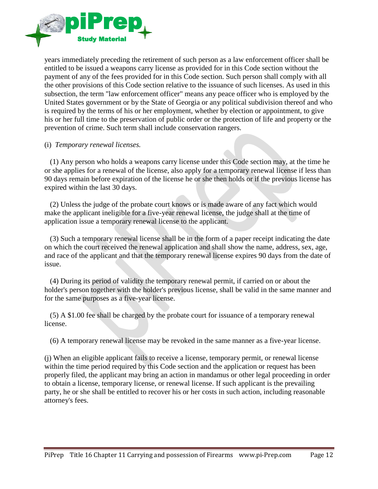

years immediately preceding the retirement of such person as a law enforcement officer shall be entitled to be issued a weapons carry license as provided for in this Code section without the payment of any of the fees provided for in this Code section. Such person shall comply with all the other provisions of this Code section relative to the issuance of such licenses. As used in this subsection, the term "law enforcement officer" means any peace officer who is employed by the United States government or by the State of Georgia or any political subdivision thereof and who is required by the terms of his or her employment, whether by election or appointment, to give his or her full time to the preservation of public order or the protection of life and property or the prevention of crime. Such term shall include conservation rangers.

#### (i) *Temporary renewal licenses.*

 (1) Any person who holds a weapons carry license under this Code section may, at the time he or she applies for a renewal of the license, also apply for a temporary renewal license if less than 90 days remain before expiration of the license he or she then holds or if the previous license has expired within the last 30 days.

 (2) Unless the judge of the probate court knows or is made aware of any fact which would make the applicant ineligible for a five-year renewal license, the judge shall at the time of application issue a temporary renewal license to the applicant.

 (3) Such a temporary renewal license shall be in the form of a paper receipt indicating the date on which the court received the renewal application and shall show the name, address, sex, age, and race of the applicant and that the temporary renewal license expires 90 days from the date of issue.

 (4) During its period of validity the temporary renewal permit, if carried on or about the holder's person together with the holder's previous license, shall be valid in the same manner and for the same purposes as a five-year license.

 (5) A \$1.00 fee shall be charged by the probate court for issuance of a temporary renewal license.

(6) A temporary renewal license may be revoked in the same manner as a five-year license.

(j) When an eligible applicant fails to receive a license, temporary permit, or renewal license within the time period required by this Code section and the application or request has been properly filed, the applicant may bring an action in mandamus or other legal proceeding in order to obtain a license, temporary license, or renewal license. If such applicant is the prevailing party, he or she shall be entitled to recover his or her costs in such action, including reasonable attorney's fees.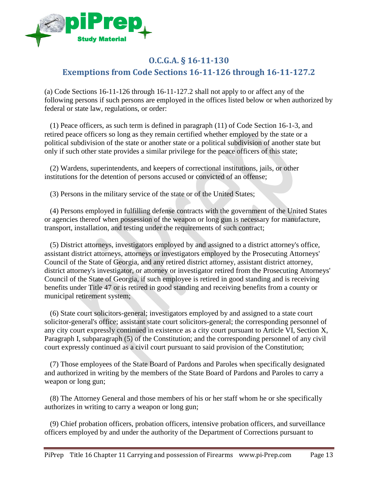

#### <span id="page-12-0"></span>**O.C.G.A. § 16-11-130 Exemptions from Code Sections 16-11-126 through 16-11-127.2**

(a) Code Sections 16-11-126 through 16-11-127.2 shall not apply to or affect any of the following persons if such persons are employed in the offices listed below or when authorized by federal or state law, regulations, or order:

 (1) Peace officers, as such term is defined in paragraph (11) of Code Section 16-1-3, and retired peace officers so long as they remain certified whether employed by the state or a political subdivision of the state or another state or a political subdivision of another state but only if such other state provides a similar privilege for the peace officers of this state;

 (2) Wardens, superintendents, and keepers of correctional institutions, jails, or other institutions for the detention of persons accused or convicted of an offense;

(3) Persons in the military service of the state or of the United States;

 (4) Persons employed in fulfilling defense contracts with the government of the United States or agencies thereof when possession of the weapon or long gun is necessary for manufacture, transport, installation, and testing under the requirements of such contract;

 (5) District attorneys, investigators employed by and assigned to a district attorney's office, assistant district attorneys, attorneys or investigators employed by the Prosecuting Attorneys' Council of the State of Georgia, and any retired district attorney, assistant district attorney, district attorney's investigator, or attorney or investigator retired from the Prosecuting Attorneys' Council of the State of Georgia, if such employee is retired in good standing and is receiving benefits under Title 47 or is retired in good standing and receiving benefits from a county or municipal retirement system;

 (6) State court solicitors-general; investigators employed by and assigned to a state court solicitor-general's office; assistant state court solicitors-general; the corresponding personnel of any city court expressly continued in existence as a city court pursuant to Article VI, Section X, Paragraph I, subparagraph (5) of the Constitution; and the corresponding personnel of any civil court expressly continued as a civil court pursuant to said provision of the Constitution;

 (7) Those employees of the State Board of Pardons and Paroles when specifically designated and authorized in writing by the members of the State Board of Pardons and Paroles to carry a weapon or long gun;

 (8) The Attorney General and those members of his or her staff whom he or she specifically authorizes in writing to carry a weapon or long gun;

 (9) Chief probation officers, probation officers, intensive probation officers, and surveillance officers employed by and under the authority of the Department of Corrections pursuant to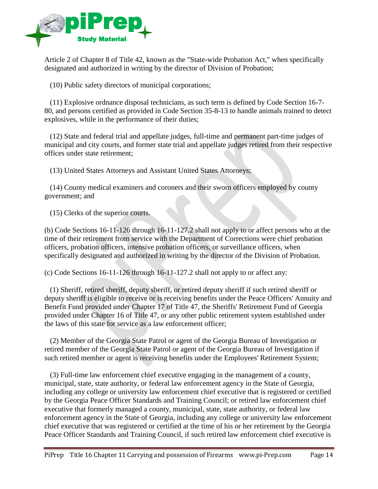

Article 2 of Chapter 8 of Title 42, known as the "State-wide Probation Act," when specifically designated and authorized in writing by the director of Division of Probation;

(10) Public safety directors of municipal corporations;

 (11) Explosive ordnance disposal technicians, as such term is defined by Code Section 16-7- 80, and persons certified as provided in Code Section 35-8-13 to handle animals trained to detect explosives, while in the performance of their duties;

 (12) State and federal trial and appellate judges, full-time and permanent part-time judges of municipal and city courts, and former state trial and appellate judges retired from their respective offices under state retirement;

(13) United States Attorneys and Assistant United States Attorneys;

 (14) County medical examiners and coroners and their sworn officers employed by county government; and

(15) Clerks of the superior courts.

(b) Code Sections 16-11-126 through 16-11-127.2 shall not apply to or affect persons who at the time of their retirement from service with the Department of Corrections were chief probation officers, probation officers, intensive probation officers, or surveillance officers, when specifically designated and authorized in writing by the director of the Division of Probation.

(c) Code Sections 16-11-126 through 16-11-127.2 shall not apply to or affect any:

 (1) Sheriff, retired sheriff, deputy sheriff, or retired deputy sheriff if such retired sheriff or deputy sheriff is eligible to receive or is receiving benefits under the Peace Officers' Annuity and Benefit Fund provided under Chapter 17 of Title 47, the Sheriffs' Retirement Fund of Georgia provided under Chapter 16 of Title 47, or any other public retirement system established under the laws of this state for service as a law enforcement officer;

 (2) Member of the Georgia State Patrol or agent of the Georgia Bureau of Investigation or retired member of the Georgia State Patrol or agent of the Georgia Bureau of Investigation if such retired member or agent is receiving benefits under the Employees' Retirement System;

 (3) Full-time law enforcement chief executive engaging in the management of a county, municipal, state, state authority, or federal law enforcement agency in the State of Georgia, including any college or university law enforcement chief executive that is registered or certified by the Georgia Peace Officer Standards and Training Council; or retired law enforcement chief executive that formerly managed a county, municipal, state, state authority, or federal law enforcement agency in the State of Georgia, including any college or university law enforcement chief executive that was registered or certified at the time of his or her retirement by the Georgia Peace Officer Standards and Training Council, if such retired law enforcement chief executive is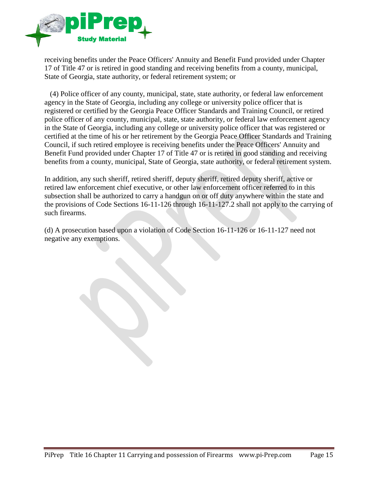

receiving benefits under the Peace Officers' Annuity and Benefit Fund provided under Chapter 17 of Title 47 or is retired in good standing and receiving benefits from a county, municipal, State of Georgia, state authority, or federal retirement system; or

 (4) Police officer of any county, municipal, state, state authority, or federal law enforcement agency in the State of Georgia, including any college or university police officer that is registered or certified by the Georgia Peace Officer Standards and Training Council, or retired police officer of any county, municipal, state, state authority, or federal law enforcement agency in the State of Georgia, including any college or university police officer that was registered or certified at the time of his or her retirement by the Georgia Peace Officer Standards and Training Council, if such retired employee is receiving benefits under the Peace Officers' Annuity and Benefit Fund provided under Chapter 17 of Title 47 or is retired in good standing and receiving benefits from a county, municipal, State of Georgia, state authority, or federal retirement system.

In addition, any such sheriff, retired sheriff, deputy sheriff, retired deputy sheriff, active or retired law enforcement chief executive, or other law enforcement officer referred to in this subsection shall be authorized to carry a handgun on or off duty anywhere within the state and the provisions of Code Sections 16-11-126 through 16-11-127.2 shall not apply to the carrying of such firearms.

(d) A prosecution based upon a violation of Code Section 16-11-126 or 16-11-127 need not negative any exemptions.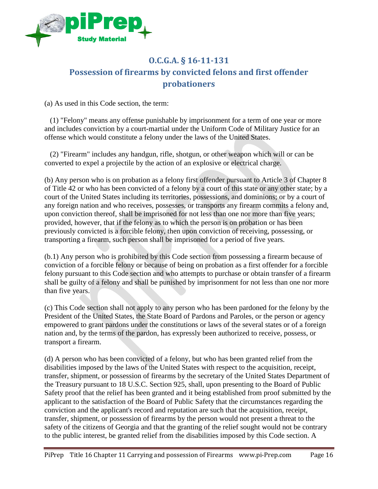

# <span id="page-15-0"></span>**O.C.G.A. § 16-11-131 Possession of firearms by convicted felons and first offender probationers**

(a) As used in this Code section, the term:

 (1) "Felony" means any offense punishable by imprisonment for a term of one year or more and includes conviction by a court-martial under the Uniform Code of Military Justice for an offense which would constitute a felony under the laws of the United States.

 (2) "Firearm" includes any handgun, rifle, shotgun, or other weapon which will or can be converted to expel a projectile by the action of an explosive or electrical charge.

(b) Any person who is on probation as a felony first offender pursuant to Article 3 of Chapter 8 of Title 42 or who has been convicted of a felony by a court of this state or any other state; by a court of the United States including its territories, possessions, and dominions; or by a court of any foreign nation and who receives, possesses, or transports any firearm commits a felony and, upon conviction thereof, shall be imprisoned for not less than one nor more than five years; provided, however, that if the felony as to which the person is on probation or has been previously convicted is a forcible felony, then upon conviction of receiving, possessing, or transporting a firearm, such person shall be imprisoned for a period of five years.

(b.1) Any person who is prohibited by this Code section from possessing a firearm because of conviction of a forcible felony or because of being on probation as a first offender for a forcible felony pursuant to this Code section and who attempts to purchase or obtain transfer of a firearm shall be guilty of a felony and shall be punished by imprisonment for not less than one nor more than five years.

(c) This Code section shall not apply to any person who has been pardoned for the felony by the President of the United States, the State Board of Pardons and Paroles, or the person or agency empowered to grant pardons under the constitutions or laws of the several states or of a foreign nation and, by the terms of the pardon, has expressly been authorized to receive, possess, or transport a firearm.

(d) A person who has been convicted of a felony, but who has been granted relief from the disabilities imposed by the laws of the United States with respect to the acquisition, receipt, transfer, shipment, or possession of firearms by the secretary of the United States Department of the Treasury pursuant to 18 U.S.C. Section 925, shall, upon presenting to the Board of Public Safety proof that the relief has been granted and it being established from proof submitted by the applicant to the satisfaction of the Board of Public Safety that the circumstances regarding the conviction and the applicant's record and reputation are such that the acquisition, receipt, transfer, shipment, or possession of firearms by the person would not present a threat to the safety of the citizens of Georgia and that the granting of the relief sought would not be contrary to the public interest, be granted relief from the disabilities imposed by this Code section. A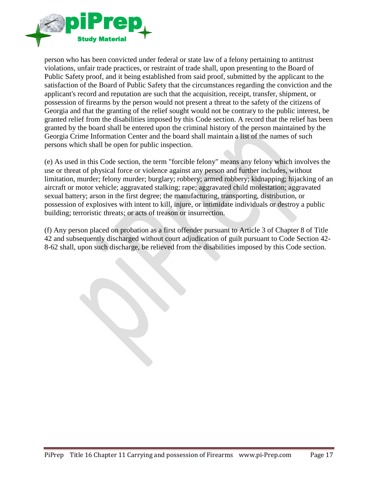

person who has been convicted under federal or state law of a felony pertaining to antitrust violations, unfair trade practices, or restraint of trade shall, upon presenting to the Board of Public Safety proof, and it being established from said proof, submitted by the applicant to the satisfaction of the Board of Public Safety that the circumstances regarding the conviction and the applicant's record and reputation are such that the acquisition, receipt, transfer, shipment, or possession of firearms by the person would not present a threat to the safety of the citizens of Georgia and that the granting of the relief sought would not be contrary to the public interest, be granted relief from the disabilities imposed by this Code section. A record that the relief has been granted by the board shall be entered upon the criminal history of the person maintained by the Georgia Crime Information Center and the board shall maintain a list of the names of such persons which shall be open for public inspection.

(e) As used in this Code section, the term "forcible felony" means any felony which involves the use or threat of physical force or violence against any person and further includes, without limitation, murder; felony murder; burglary; robbery; armed robbery; kidnapping; hijacking of an aircraft or motor vehicle; aggravated stalking; rape; aggravated child molestation; aggravated sexual battery; arson in the first degree; the manufacturing, transporting, distribution, or possession of explosives with intent to kill, injure, or intimidate individuals or destroy a public building; terroristic threats; or acts of treason or insurrection.

(f) Any person placed on probation as a first offender pursuant to Article 3 of Chapter 8 of Title 42 and subsequently discharged without court adjudication of guilt pursuant to Code Section 42- 8-62 shall, upon such discharge, be relieved from the disabilities imposed by this Code section.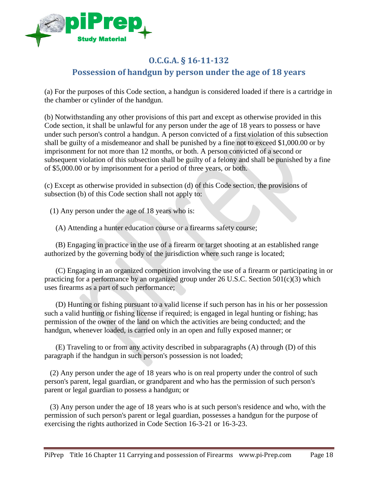

## <span id="page-17-0"></span>**O.C.G.A. § 16-11-132 Possession of handgun by person under the age of 18 years**

(a) For the purposes of this Code section, a handgun is considered loaded if there is a cartridge in the chamber or cylinder of the handgun.

(b) Notwithstanding any other provisions of this part and except as otherwise provided in this Code section, it shall be unlawful for any person under the age of 18 years to possess or have under such person's control a handgun. A person convicted of a first violation of this subsection shall be guilty of a misdemeanor and shall be punished by a fine not to exceed \$1,000.00 or by imprisonment for not more than 12 months, or both. A person convicted of a second or subsequent violation of this subsection shall be guilty of a felony and shall be punished by a fine of \$5,000.00 or by imprisonment for a period of three years, or both.

(c) Except as otherwise provided in subsection (d) of this Code section, the provisions of subsection (b) of this Code section shall not apply to:

(1) Any person under the age of 18 years who is:

(A) Attending a hunter education course or a firearms safety course;

 (B) Engaging in practice in the use of a firearm or target shooting at an established range authorized by the governing body of the jurisdiction where such range is located;

 (C) Engaging in an organized competition involving the use of a firearm or participating in or practicing for a performance by an organized group under 26 U.S.C. Section 501(c)(3) which uses firearms as a part of such performance;

 (D) Hunting or fishing pursuant to a valid license if such person has in his or her possession such a valid hunting or fishing license if required; is engaged in legal hunting or fishing; has permission of the owner of the land on which the activities are being conducted; and the handgun, whenever loaded, is carried only in an open and fully exposed manner; or

 (E) Traveling to or from any activity described in subparagraphs (A) through (D) of this paragraph if the handgun in such person's possession is not loaded;

 (2) Any person under the age of 18 years who is on real property under the control of such person's parent, legal guardian, or grandparent and who has the permission of such person's parent or legal guardian to possess a handgun; or

 (3) Any person under the age of 18 years who is at such person's residence and who, with the permission of such person's parent or legal guardian, possesses a handgun for the purpose of exercising the rights authorized in Code Section 16-3-21 or 16-3-23.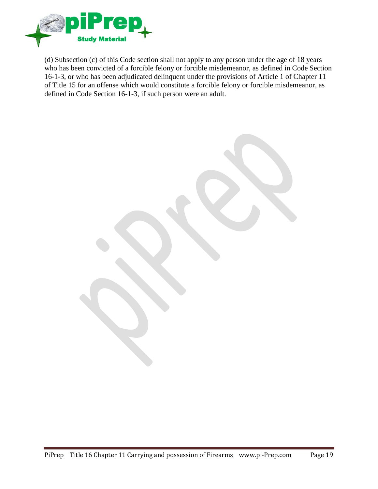

(d) Subsection (c) of this Code section shall not apply to any person under the age of 18 years who has been convicted of a forcible felony or forcible misdemeanor, as defined in Code Section 16-1-3, or who has been adjudicated delinquent under the provisions of Article 1 of Chapter 11 of Title 15 for an offense which would constitute a forcible felony or forcible misdemeanor, as defined in Code Section 16-1-3, if such person were an adult.